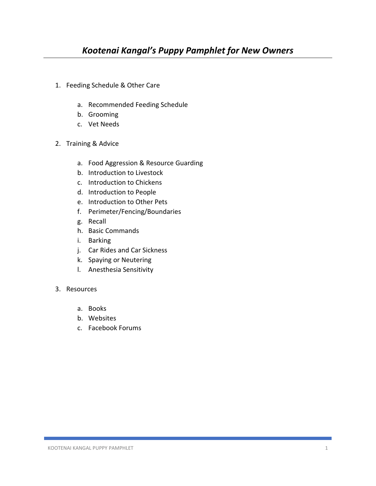- 1. Feeding Schedule & Other Care
	- a. Recommended Feeding Schedule
	- b. Grooming
	- c. Vet Needs
- 2. Training & Advice
	- a. Food Aggression & Resource Guarding
	- b. Introduction to Livestock
	- c. Introduction to Chickens
	- d. Introduction to People
	- e. Introduction to Other Pets
	- f. Perimeter/Fencing/Boundaries
	- g. Recall
	- h. Basic Commands
	- i. Barking
	- j. Car Rides and Car Sickness
	- k. Spaying or Neutering
	- l. Anesthesia Sensitivity
- 3. Resources
	- a. Books
	- b. Websites
	- c. Facebook Forums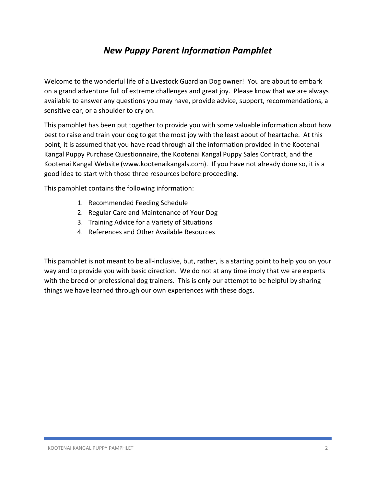Welcome to the wonderful life of a Livestock Guardian Dog owner! You are about to embark on a grand adventure full of extreme challenges and great joy. Please know that we are always available to answer any questions you may have, provide advice, support, recommendations, a sensitive ear, or a shoulder to cry on.

This pamphlet has been put together to provide you with some valuable information about how best to raise and train your dog to get the most joy with the least about of heartache. At this point, it is assumed that you have read through all the information provided in the Kootenai Kangal Puppy Purchase Questionnaire, the Kootenai Kangal Puppy Sales Contract, and the Kootenai Kangal Website (www.kootenaikangals.com). If you have not already done so, it is a good idea to start with those three resources before proceeding.

This pamphlet contains the following information:

- 1. Recommended Feeding Schedule
- 2. Regular Care and Maintenance of Your Dog
- 3. Training Advice for a Variety of Situations
- 4. References and Other Available Resources

This pamphlet is not meant to be all-inclusive, but, rather, is a starting point to help you on your way and to provide you with basic direction. We do not at any time imply that we are experts with the breed or professional dog trainers. This is only our attempt to be helpful by sharing things we have learned through our own experiences with these dogs.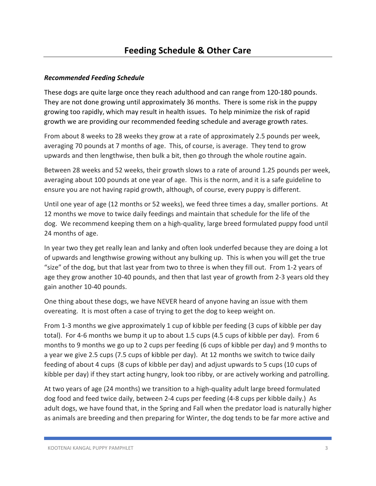# *Recommended Feeding Schedule*

These dogs are quite large once they reach adulthood and can range from 120-180 pounds. They are not done growing until approximately 36 months. There is some risk in the puppy growing too rapidly, which may result in health issues. To help minimize the risk of rapid growth we are providing our recommended feeding schedule and average growth rates.

From about 8 weeks to 28 weeks they grow at a rate of approximately 2.5 pounds per week, averaging 70 pounds at 7 months of age. This, of course, is average. They tend to grow upwards and then lengthwise, then bulk a bit, then go through the whole routine again.

Between 28 weeks and 52 weeks, their growth slows to a rate of around 1.25 pounds per week, averaging about 100 pounds at one year of age. This is the norm, and it is a safe guideline to ensure you are not having rapid growth, although, of course, every puppy is different.

Until one year of age (12 months or 52 weeks), we feed three times a day, smaller portions. At 12 months we move to twice daily feedings and maintain that schedule for the life of the dog. We recommend keeping them on a high-quality, large breed formulated puppy food until 24 months of age.

In year two they get really lean and lanky and often look underfed because they are doing a lot of upwards and lengthwise growing without any bulking up. This is when you will get the true "size" of the dog, but that last year from two to three is when they fill out. From 1-2 years of age they grow another 10-40 pounds, and then that last year of growth from 2-3 years old they gain another 10-40 pounds.

One thing about these dogs, we have NEVER heard of anyone having an issue with them overeating. It is most often a case of trying to get the dog to keep weight on.

From 1-3 months we give approximately 1 cup of kibble per feeding (3 cups of kibble per day total). For 4-6 months we bump it up to about 1.5 cups (4.5 cups of kibble per day). From 6 months to 9 months we go up to 2 cups per feeding (6 cups of kibble per day) and 9 months to a year we give 2.5 cups (7.5 cups of kibble per day). At 12 months we switch to twice daily feeding of about 4 cups (8 cups of kibble per day) and adjust upwards to 5 cups (10 cups of kibble per day) if they start acting hungry, look too ribby, or are actively working and patrolling.

At two years of age (24 months) we transition to a high-quality adult large breed formulated dog food and feed twice daily, between 2-4 cups per feeding (4-8 cups per kibble daily.) As adult dogs, we have found that, in the Spring and Fall when the predator load is naturally higher as animals are breeding and then preparing for Winter, the dog tends to be far more active and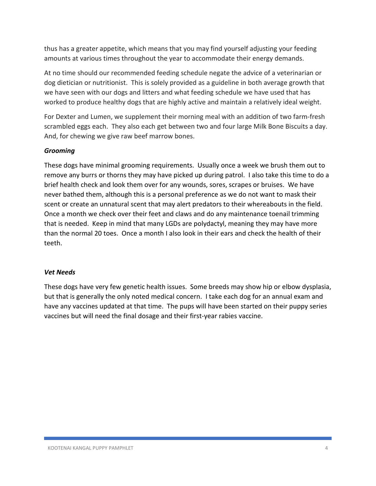thus has a greater appetite, which means that you may find yourself adjusting your feeding amounts at various times throughout the year to accommodate their energy demands.

At no time should our recommended feeding schedule negate the advice of a veterinarian or dog dietician or nutritionist. This is solely provided as a guideline in both average growth that we have seen with our dogs and litters and what feeding schedule we have used that has worked to produce healthy dogs that are highly active and maintain a relatively ideal weight.

For Dexter and Lumen, we supplement their morning meal with an addition of two farm-fresh scrambled eggs each. They also each get between two and four large Milk Bone Biscuits a day. And, for chewing we give raw beef marrow bones.

# *Grooming*

These dogs have minimal grooming requirements. Usually once a week we brush them out to remove any burrs or thorns they may have picked up during patrol. I also take this time to do a brief health check and look them over for any wounds, sores, scrapes or bruises. We have never bathed them, although this is a personal preference as we do not want to mask their scent or create an unnatural scent that may alert predators to their whereabouts in the field. Once a month we check over their feet and claws and do any maintenance toenail trimming that is needed. Keep in mind that many LGDs are polydactyl, meaning they may have more than the normal 20 toes. Once a month I also look in their ears and check the health of their teeth.

### *Vet Needs*

These dogs have very few genetic health issues. Some breeds may show hip or elbow dysplasia, but that is generally the only noted medical concern. I take each dog for an annual exam and have any vaccines updated at that time. The pups will have been started on their puppy series vaccines but will need the final dosage and their first-year rabies vaccine.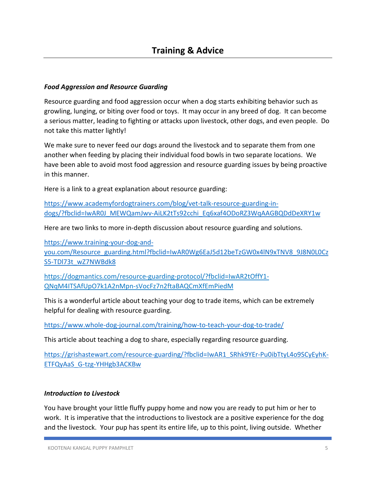## *Food Aggression and Resource Guarding*

Resource guarding and food aggression occur when a dog starts exhibiting behavior such as growling, lunging, or biting over food or toys. It may occur in any breed of dog. It can become a serious matter, leading to fighting or attacks upon livestock, other dogs, and even people. Do not take this matter lightly!

We make sure to never feed our dogs around the livestock and to separate them from one another when feeding by placing their individual food bowls in two separate locations. We have been able to avoid most food aggression and resource guarding issues by being proactive in this manner.

Here is a link to a great explanation about resource guarding:

https://www.academyfordogtrainers.com/blog/vet-talk-resource-guarding-indogs/?fbclid=IwAR0J\_MEWQamJwv-AiLK2tTs92cchi\_Eq6xaf4ODoRZ3WqAAGBQDdDeXRY1w

Here are two links to more in-depth discussion about resource guarding and solutions.

https://www.training-your-dog-and-

you.com/Resource\_guarding.html?fbclid=IwAR0Wg6EaJ5d12beTzGW0x4lN9xTNV8\_9J8N0L0Cz S5-TDl73t\_wZ7NWBdk8

https://dogmantics.com/resource-guarding-protocol/?fbclid=IwAR2tOffY1- QNqM4ITSAfUpO7k1A2nMpn-sVocFz7n2ftaBAQCmXfEmPiedM

This is a wonderful article about teaching your dog to trade items, which can be extremely helpful for dealing with resource guarding.

https://www.whole-dog-journal.com/training/how-to-teach-your-dog-to-trade/

This article about teaching a dog to share, especially regarding resource guarding.

https://grishastewart.com/resource-guarding/?fbclid=IwAR1\_SRhk9YEr-Pu0ibTtyL4o9SCyEyhK-ETFQyAaS\_G-tzg-YHHgb3ACKBw

### *Introduction to Livestock*

You have brought your little fluffy puppy home and now you are ready to put him or her to work. It is imperative that the introductions to livestock are a positive experience for the dog and the livestock. Your pup has spent its entire life, up to this point, living outside. Whether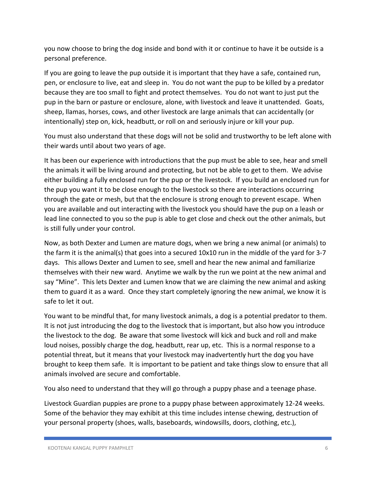you now choose to bring the dog inside and bond with it or continue to have it be outside is a personal preference.

If you are going to leave the pup outside it is important that they have a safe, contained run, pen, or enclosure to live, eat and sleep in. You do not want the pup to be killed by a predator because they are too small to fight and protect themselves. You do not want to just put the pup in the barn or pasture or enclosure, alone, with livestock and leave it unattended. Goats, sheep, llamas, horses, cows, and other livestock are large animals that can accidentally (or intentionally) step on, kick, headbutt, or roll on and seriously injure or kill your pup.

You must also understand that these dogs will not be solid and trustworthy to be left alone with their wards until about two years of age.

It has been our experience with introductions that the pup must be able to see, hear and smell the animals it will be living around and protecting, but not be able to get to them. We advise either building a fully enclosed run for the pup or the livestock. If you build an enclosed run for the pup you want it to be close enough to the livestock so there are interactions occurring through the gate or mesh, but that the enclosure is strong enough to prevent escape. When you are available and out interacting with the livestock you should have the pup on a leash or lead line connected to you so the pup is able to get close and check out the other animals, but is still fully under your control.

Now, as both Dexter and Lumen are mature dogs, when we bring a new animal (or animals) to the farm it is the animal(s) that goes into a secured 10x10 run in the middle of the yard for 3-7 days. This allows Dexter and Lumen to see, smell and hear the new animal and familiarize themselves with their new ward. Anytime we walk by the run we point at the new animal and say "Mine". This lets Dexter and Lumen know that we are claiming the new animal and asking them to guard it as a ward. Once they start completely ignoring the new animal, we know it is safe to let it out.

You want to be mindful that, for many livestock animals, a dog is a potential predator to them. It is not just introducing the dog to the livestock that is important, but also how you introduce the livestock to the dog. Be aware that some livestock will kick and buck and roll and make loud noises, possibly charge the dog, headbutt, rear up, etc. This is a normal response to a potential threat, but it means that your livestock may inadvertently hurt the dog you have brought to keep them safe. It is important to be patient and take things slow to ensure that all animals involved are secure and comfortable.

You also need to understand that they will go through a puppy phase and a teenage phase.

Livestock Guardian puppies are prone to a puppy phase between approximately 12-24 weeks. Some of the behavior they may exhibit at this time includes intense chewing, destruction of your personal property (shoes, walls, baseboards, windowsills, doors, clothing, etc.),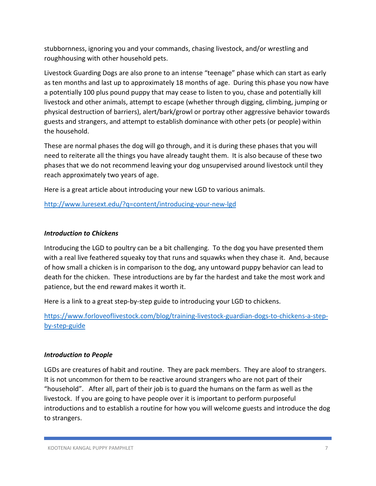stubbornness, ignoring you and your commands, chasing livestock, and/or wrestling and roughhousing with other household pets.

Livestock Guarding Dogs are also prone to an intense "teenage" phase which can start as early as ten months and last up to approximately 18 months of age. During this phase you now have a potentially 100 plus pound puppy that may cease to listen to you, chase and potentially kill livestock and other animals, attempt to escape (whether through digging, climbing, jumping or physical destruction of barriers), alert/bark/growl or portray other aggressive behavior towards guests and strangers, and attempt to establish dominance with other pets (or people) within the household.

These are normal phases the dog will go through, and it is during these phases that you will need to reiterate all the things you have already taught them. It is also because of these two phases that we do not recommend leaving your dog unsupervised around livestock until they reach approximately two years of age.

Here is a great article about introducing your new LGD to various animals.

http://www.luresext.edu/?q=content/introducing-your-new-lgd

### *Introduction to Chickens*

Introducing the LGD to poultry can be a bit challenging. To the dog you have presented them with a real live feathered squeaky toy that runs and squawks when they chase it. And, because of how small a chicken is in comparison to the dog, any untoward puppy behavior can lead to death for the chicken. These introductions are by far the hardest and take the most work and patience, but the end reward makes it worth it.

Here is a link to a great step-by-step guide to introducing your LGD to chickens.

https://www.forloveoflivestock.com/blog/training-livestock-guardian-dogs-to-chickens-a-stepby-step-guide

### *Introduction to People*

LGDs are creatures of habit and routine. They are pack members. They are aloof to strangers. It is not uncommon for them to be reactive around strangers who are not part of their "household". After all, part of their job is to guard the humans on the farm as well as the livestock. If you are going to have people over it is important to perform purposeful introductions and to establish a routine for how you will welcome guests and introduce the dog to strangers.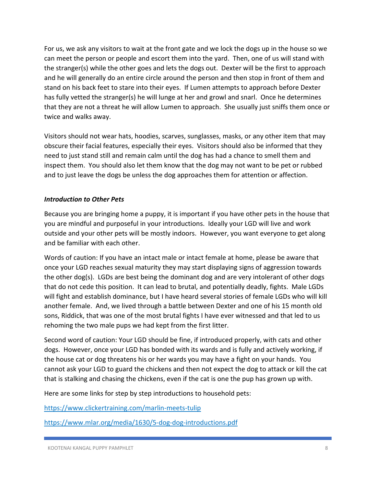For us, we ask any visitors to wait at the front gate and we lock the dogs up in the house so we can meet the person or people and escort them into the yard. Then, one of us will stand with the stranger(s) while the other goes and lets the dogs out. Dexter will be the first to approach and he will generally do an entire circle around the person and then stop in front of them and stand on his back feet to stare into their eyes. If Lumen attempts to approach before Dexter has fully vetted the stranger(s) he will lunge at her and growl and snarl. Once he determines that they are not a threat he will allow Lumen to approach. She usually just sniffs them once or twice and walks away.

Visitors should not wear hats, hoodies, scarves, sunglasses, masks, or any other item that may obscure their facial features, especially their eyes. Visitors should also be informed that they need to just stand still and remain calm until the dog has had a chance to smell them and inspect them. You should also let them know that the dog may not want to be pet or rubbed and to just leave the dogs be unless the dog approaches them for attention or affection.

# *Introduction to Other Pets*

Because you are bringing home a puppy, it is important if you have other pets in the house that you are mindful and purposeful in your introductions. Ideally your LGD will live and work outside and your other pets will be mostly indoors. However, you want everyone to get along and be familiar with each other.

Words of caution: If you have an intact male or intact female at home, please be aware that once your LGD reaches sexual maturity they may start displaying signs of aggression towards the other dog(s). LGDs are best being the dominant dog and are very intolerant of other dogs that do not cede this position. It can lead to brutal, and potentially deadly, fights. Male LGDs will fight and establish dominance, but I have heard several stories of female LGDs who will kill another female. And, we lived through a battle between Dexter and one of his 15 month old sons, Riddick, that was one of the most brutal fights I have ever witnessed and that led to us rehoming the two male pups we had kept from the first litter.

Second word of caution: Your LGD should be fine, if introduced properly, with cats and other dogs. However, once your LGD has bonded with its wards and is fully and actively working, if the house cat or dog threatens his or her wards you may have a fight on your hands. You cannot ask your LGD to guard the chickens and then not expect the dog to attack or kill the cat that is stalking and chasing the chickens, even if the cat is one the pup has grown up with.

Here are some links for step by step introductions to household pets:

https://www.clickertraining.com/marlin-meets-tulip

https://www.mlar.org/media/1630/5-dog-dog-introductions.pdf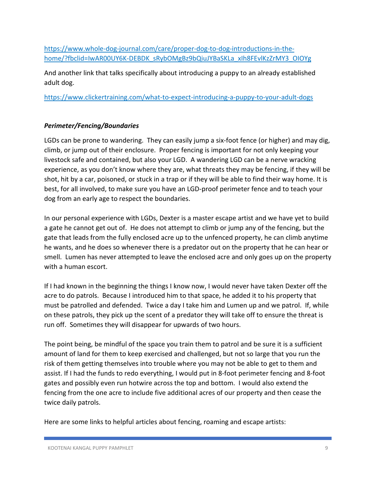https://www.whole-dog-journal.com/care/proper-dog-to-dog-introductions-in-thehome/?fbclid=IwAR00UY6K-DEBDK\_sRybOMgBz9bQiuJYBaSKLa\_xIh8FEvlKzZrMY3\_OIOYg

And another link that talks specifically about introducing a puppy to an already established adult dog.

https://www.clickertraining.com/what-to-expect-introducing-a-puppy-to-your-adult-dogs

# *Perimeter/Fencing/Boundaries*

LGDs can be prone to wandering. They can easily jump a six-foot fence (or higher) and may dig, climb, or jump out of their enclosure. Proper fencing is important for not only keeping your livestock safe and contained, but also your LGD. A wandering LGD can be a nerve wracking experience, as you don't know where they are, what threats they may be fencing, if they will be shot, hit by a car, poisoned, or stuck in a trap or if they will be able to find their way home. It is best, for all involved, to make sure you have an LGD-proof perimeter fence and to teach your dog from an early age to respect the boundaries.

In our personal experience with LGDs, Dexter is a master escape artist and we have yet to build a gate he cannot get out of. He does not attempt to climb or jump any of the fencing, but the gate that leads from the fully enclosed acre up to the unfenced property, he can climb anytime he wants, and he does so whenever there is a predator out on the property that he can hear or smell. Lumen has never attempted to leave the enclosed acre and only goes up on the property with a human escort.

If I had known in the beginning the things I know now, I would never have taken Dexter off the acre to do patrols. Because I introduced him to that space, he added it to his property that must be patrolled and defended. Twice a day I take him and Lumen up and we patrol. If, while on these patrols, they pick up the scent of a predator they will take off to ensure the threat is run off. Sometimes they will disappear for upwards of two hours.

The point being, be mindful of the space you train them to patrol and be sure it is a sufficient amount of land for them to keep exercised and challenged, but not so large that you run the risk of them getting themselves into trouble where you may not be able to get to them and assist. If I had the funds to redo everything, I would put in 8-foot perimeter fencing and 8-foot gates and possibly even run hotwire across the top and bottom. I would also extend the fencing from the one acre to include five additional acres of our property and then cease the twice daily patrols.

Here are some links to helpful articles about fencing, roaming and escape artists: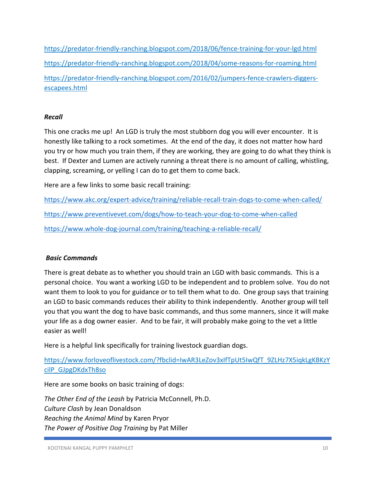https://predator-friendly-ranching.blogspot.com/2018/06/fence-training-for-your-lgd.html https://predator-friendly-ranching.blogspot.com/2018/04/some-reasons-for-roaming.html https://predator-friendly-ranching.blogspot.com/2016/02/jumpers-fence-crawlers-diggersescapees.html

# *Recall*

This one cracks me up! An LGD is truly the most stubborn dog you will ever encounter. It is honestly like talking to a rock sometimes. At the end of the day, it does not matter how hard you try or how much you train them, if they are working, they are going to do what they think is best. If Dexter and Lumen are actively running a threat there is no amount of calling, whistling, clapping, screaming, or yelling I can do to get them to come back.

Here are a few links to some basic recall training:

https://www.akc.org/expert-advice/training/reliable-recall-train-dogs-to-come-when-called/ https://www.preventivevet.com/dogs/how-to-teach-your-dog-to-come-when-called https://www.whole-dog-journal.com/training/teaching-a-reliable-recall/

# *Basic Commands*

There is great debate as to whether you should train an LGD with basic commands. This is a personal choice. You want a working LGD to be independent and to problem solve. You do not want them to look to you for guidance or to tell them what to do. One group says that training an LGD to basic commands reduces their ability to think independently. Another group will tell you that you want the dog to have basic commands, and thus some manners, since it will make your life as a dog owner easier. And to be fair, it will probably make going to the vet a little easier as well!

Here is a helpful link specifically for training livestock guardian dogs.

https://www.forloveoflivestock.com/?fbclid=IwAR3LeZov3xIfTpUt5IwQfT\_9ZLHz7X5iqkLgKBKzY cilP\_GJpgDKdxTh8so

Here are some books on basic training of dogs:

*The Other End of the Leash* by Patricia McConnell, Ph.D. *Culture Clash* by Jean Donaldson *Reaching the Animal Mind* by Karen Pryor *The Power of Positive Dog Training* by Pat Miller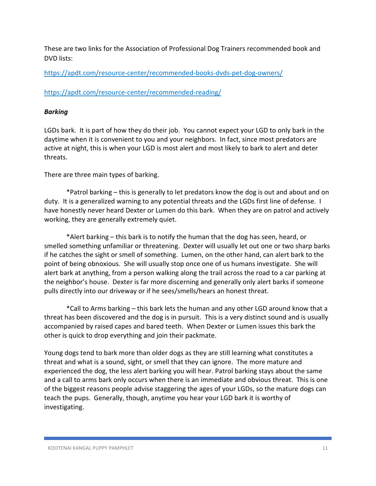These are two links for the Association of Professional Dog Trainers recommended book and DVD lists:

https://apdt.com/resource-center/recommended-books-dvds-pet-dog-owners/

https://apdt.com/resource-center/recommended-reading/

# *Barking*

LGDs bark. It is part of how they do their job. You cannot expect your LGD to only bark in the daytime when it is convenient to you and your neighbors. In fact, since most predators are active at night, this is when your LGD is most alert and most likely to bark to alert and deter threats.

There are three main types of barking.

 \*Patrol barking – this is generally to let predators know the dog is out and about and on duty. It is a generalized warning to any potential threats and the LGDs first line of defense. I have honestly never heard Dexter or Lumen do this bark. When they are on patrol and actively working, they are generally extremely quiet.

 \*Alert barking – this bark is to notify the human that the dog has seen, heard, or smelled something unfamiliar or threatening. Dexter will usually let out one or two sharp barks if he catches the sight or smell of something. Lumen, on the other hand, can alert bark to the point of being obnoxious. She will usually stop once one of us humans investigate. She will alert bark at anything, from a person walking along the trail across the road to a car parking at the neighbor's house. Dexter is far more discerning and generally only alert barks if someone pulls directly into our driveway or if he sees/smells/hears an honest threat.

 \*Call to Arms barking – this bark lets the human and any other LGD around know that a threat has been discovered and the dog is in pursuit. This is a very distinct sound and is usually accompanied by raised capes and bared teeth. When Dexter or Lumen issues this bark the other is quick to drop everything and join their packmate.

Young dogs tend to bark more than older dogs as they are still learning what constitutes a threat and what is a sound, sight, or smell that they can ignore. The more mature and experienced the dog, the less alert barking you will hear. Patrol barking stays about the same and a call to arms bark only occurs when there is an immediate and obvious threat. This is one of the biggest reasons people advise staggering the ages of your LGDs, so the mature dogs can teach the pups. Generally, though, anytime you hear your LGD bark it is worthy of investigating.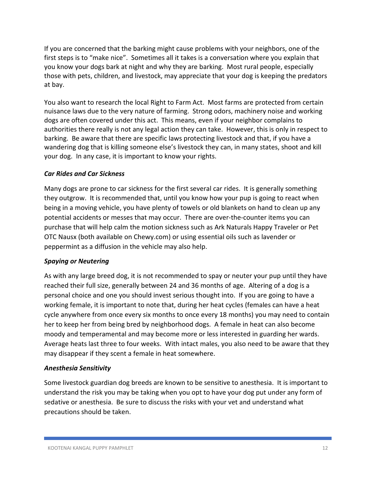If you are concerned that the barking might cause problems with your neighbors, one of the first steps is to "make nice". Sometimes all it takes is a conversation where you explain that you know your dogs bark at night and why they are barking. Most rural people, especially those with pets, children, and livestock, may appreciate that your dog is keeping the predators at bay.

You also want to research the local Right to Farm Act. Most farms are protected from certain nuisance laws due to the very nature of farming. Strong odors, machinery noise and working dogs are often covered under this act. This means, even if your neighbor complains to authorities there really is not any legal action they can take. However, this is only in respect to barking. Be aware that there are specific laws protecting livestock and that, if you have a wandering dog that is killing someone else's livestock they can, in many states, shoot and kill your dog. In any case, it is important to know your rights.

# *Car Rides and Car Sickness*

Many dogs are prone to car sickness for the first several car rides. It is generally something they outgrow. It is recommended that, until you know how your pup is going to react when being in a moving vehicle, you have plenty of towels or old blankets on hand to clean up any potential accidents or messes that may occur. There are over-the-counter items you can purchase that will help calm the motion sickness such as Ark Naturals Happy Traveler or Pet OTC Nausx (both available on Chewy.com) or using essential oils such as lavender or peppermint as a diffusion in the vehicle may also help.

# *Spaying or Neutering*

As with any large breed dog, it is not recommended to spay or neuter your pup until they have reached their full size, generally between 24 and 36 months of age. Altering of a dog is a personal choice and one you should invest serious thought into. If you are going to have a working female, it is important to note that, during her heat cycles (females can have a heat cycle anywhere from once every six months to once every 18 months) you may need to contain her to keep her from being bred by neighborhood dogs. A female in heat can also become moody and temperamental and may become more or less interested in guarding her wards. Average heats last three to four weeks. With intact males, you also need to be aware that they may disappear if they scent a female in heat somewhere.

# *Anesthesia Sensitivity*

Some livestock guardian dog breeds are known to be sensitive to anesthesia. It is important to understand the risk you may be taking when you opt to have your dog put under any form of sedative or anesthesia. Be sure to discuss the risks with your vet and understand what precautions should be taken.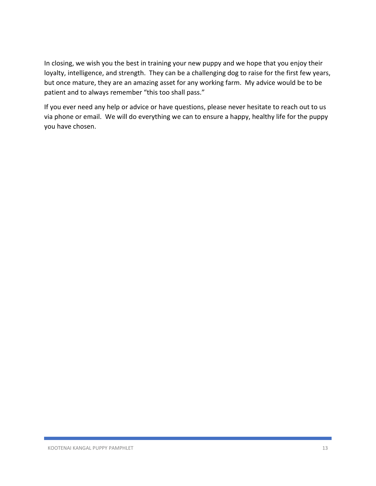In closing, we wish you the best in training your new puppy and we hope that you enjoy their loyalty, intelligence, and strength. They can be a challenging dog to raise for the first few years, but once mature, they are an amazing asset for any working farm. My advice would be to be patient and to always remember "this too shall pass."

If you ever need any help or advice or have questions, please never hesitate to reach out to us via phone or email. We will do everything we can to ensure a happy, healthy life for the puppy you have chosen.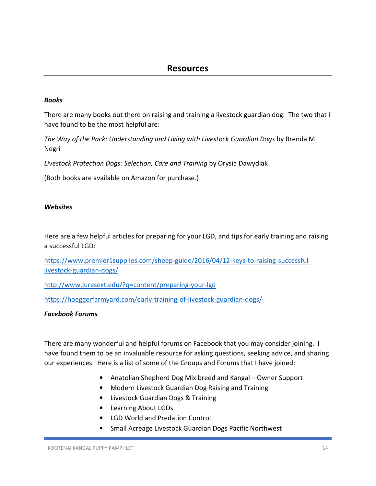## *Books*

There are many books out there on raising and training a livestock guardian dog. The two that I have found to be the most helpful are:

*The Way of the Pack: Understanding and Living with Livestock Guardian Dogs* by Brenda M. Negri

*Livestock Protection Dogs: Selection, Care and Training* by Orysia Dawydiak

(Both books are available on Amazon for purchase.)

### *Websites*

Here are a few helpful articles for preparing for your LGD, and tips for early training and raising a successful LGD:

https://www.premier1supplies.com/sheep-guide/2016/04/12-keys-to-raising-successfullivestock-guardian-dogs/

http://www.luresext.edu/?q=content/preparing-your-lgd

https://hoeggerfarmyard.com/early-training-of-livestock-guardian-dogs/

### *Facebook Forums*

There are many wonderful and helpful forums on Facebook that you may consider joining. I have found them to be an invaluable resource for asking questions, seeking advice, and sharing our experiences. Here is a list of some of the Groups and Forums that I have joined:

- Anatolian Shepherd Dog Mix breed and Kangal Owner Support
- Modern Livestock Guardian Dog Raising and Training
- Livestock Guardian Dogs & Training
- Learning About LGDs
- LGD World and Predation Control
- Small Acreage Livestock Guardian Dogs Pacific Northwest